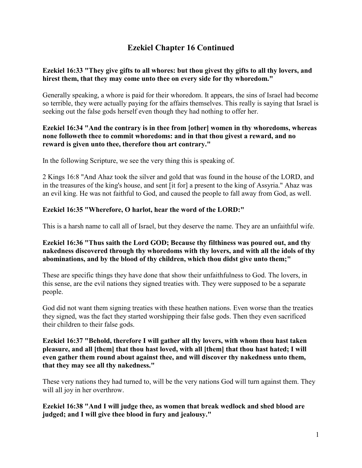# **Ezekiel Chapter 16 Continued**

## **Ezekiel 16:33 "They give gifts to all whores: but thou givest thy gifts to all thy lovers, and hirest them, that they may come unto thee on every side for thy whoredom."**

Generally speaking, a whore is paid for their whoredom. It appears, the sins of Israel had become so terrible, they were actually paying for the affairs themselves. This really is saying that Israel is seeking out the false gods herself even though they had nothing to offer her.

#### **Ezekiel 16:34 "And the contrary is in thee from [other] women in thy whoredoms, whereas none followeth thee to commit whoredoms: and in that thou givest a reward, and no reward is given unto thee, therefore thou art contrary."**

In the following Scripture, we see the very thing this is speaking of.

2 Kings 16:8 "And Ahaz took the silver and gold that was found in the house of the LORD, and in the treasures of the king's house, and sent [it for] a present to the king of Assyria." Ahaz was an evil king. He was not faithful to God, and caused the people to fall away from God, as well.

## **Ezekiel 16:35 "Wherefore, O harlot, hear the word of the LORD:"**

This is a harsh name to call all of Israel, but they deserve the name. They are an unfaithful wife.

## **Ezekiel 16:36 "Thus saith the Lord GOD; Because thy filthiness was poured out, and thy nakedness discovered through thy whoredoms with thy lovers, and with all the idols of thy abominations, and by the blood of thy children, which thou didst give unto them;"**

These are specific things they have done that show their unfaithfulness to God. The lovers, in this sense, are the evil nations they signed treaties with. They were supposed to be a separate people.

God did not want them signing treaties with these heathen nations. Even worse than the treaties they signed, was the fact they started worshipping their false gods. Then they even sacrificed their children to their false gods.

#### **Ezekiel 16:37 "Behold, therefore I will gather all thy lovers, with whom thou hast taken pleasure, and all [them] that thou hast loved, with all [them] that thou hast hated; I will even gather them round about against thee, and will discover thy nakedness unto them, that they may see all thy nakedness."**

These very nations they had turned to, will be the very nations God will turn against them. They will all joy in her overthrow.

**Ezekiel 16:38 "And I will judge thee, as women that break wedlock and shed blood are judged; and I will give thee blood in fury and jealousy."**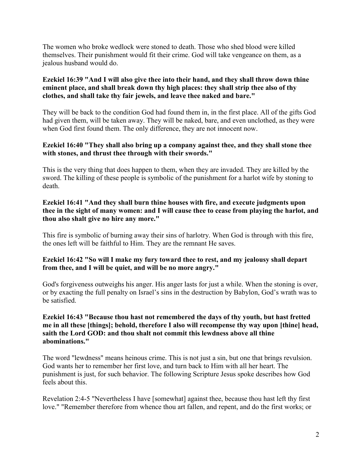The women who broke wedlock were stoned to death. Those who shed blood were killed themselves. Their punishment would fit their crime. God will take vengeance on them, as a jealous husband would do.

## **Ezekiel 16:39 "And I will also give thee into their hand, and they shall throw down thine eminent place, and shall break down thy high places: they shall strip thee also of thy clothes, and shall take thy fair jewels, and leave thee naked and bare."**

They will be back to the condition God had found them in, in the first place. All of the gifts God had given them, will be taken away. They will be naked, bare, and even unclothed, as they were when God first found them. The only difference, they are not innocent now.

#### **Ezekiel 16:40 "They shall also bring up a company against thee, and they shall stone thee with stones, and thrust thee through with their swords."**

This is the very thing that does happen to them, when they are invaded. They are killed by the sword. The killing of these people is symbolic of the punishment for a harlot wife by stoning to death.

#### **Ezekiel 16:41 "And they shall burn thine houses with fire, and execute judgments upon thee in the sight of many women: and I will cause thee to cease from playing the harlot, and thou also shalt give no hire any more."**

This fire is symbolic of burning away their sins of harlotry. When God is through with this fire, the ones left will be faithful to Him. They are the remnant He saves.

## **Ezekiel 16:42 "So will I make my fury toward thee to rest, and my jealousy shall depart from thee, and I will be quiet, and will be no more angry."**

God's forgiveness outweighs his anger. His anger lasts for just a while. When the stoning is over, or by exacting the full penalty on Israel's sins in the destruction by Babylon, God's wrath was to be satisfied.

#### **Ezekiel 16:43 "Because thou hast not remembered the days of thy youth, but hast fretted me in all these [things]; behold, therefore I also will recompense thy way upon [thine] head, saith the Lord GOD: and thou shalt not commit this lewdness above all thine abominations."**

The word "lewdness" means heinous crime. This is not just a sin, but one that brings revulsion. God wants her to remember her first love, and turn back to Him with all her heart. The punishment is just, for such behavior. The following Scripture Jesus spoke describes how God feels about this.

Revelation 2:4-5 "Nevertheless I have [somewhat] against thee, because thou hast left thy first love." "Remember therefore from whence thou art fallen, and repent, and do the first works; or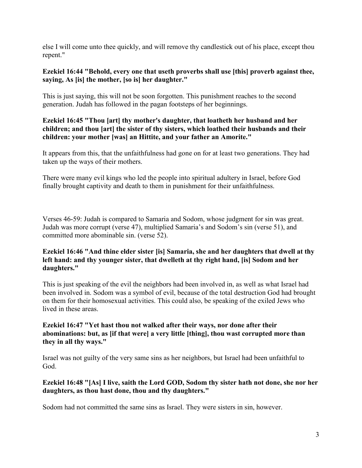else I will come unto thee quickly, and will remove thy candlestick out of his place, except thou repent."

## **Ezekiel 16:44 "Behold, every one that useth proverbs shall use [this] proverb against thee, saying, As [is] the mother, [so is] her daughter."**

This is just saying, this will not be soon forgotten. This punishment reaches to the second generation. Judah has followed in the pagan footsteps of her beginnings.

## **Ezekiel 16:45 "Thou [art] thy mother's daughter, that loatheth her husband and her children; and thou [art] the sister of thy sisters, which loathed their husbands and their children: your mother [was] an Hittite, and your father an Amorite."**

It appears from this, that the unfaithfulness had gone on for at least two generations. They had taken up the ways of their mothers.

There were many evil kings who led the people into spiritual adultery in Israel, before God finally brought captivity and death to them in punishment for their unfaithfulness.

Verses 46-59: Judah is compared to Samaria and Sodom, whose judgment for sin was great. Judah was more corrupt (verse 47), multiplied Samaria's and Sodom's sin (verse 51), and committed more abominable sin. (verse 52).

#### **Ezekiel 16:46 "And thine elder sister [is] Samaria, she and her daughters that dwell at thy left hand: and thy younger sister, that dwelleth at thy right hand, [is] Sodom and her daughters."**

This is just speaking of the evil the neighbors had been involved in, as well as what Israel had been involved in. Sodom was a symbol of evil, because of the total destruction God had brought on them for their homosexual activities. This could also, be speaking of the exiled Jews who lived in these areas.

## **Ezekiel 16:47 "Yet hast thou not walked after their ways, nor done after their abominations: but, as [if that were] a very little [thing], thou wast corrupted more than they in all thy ways."**

Israel was not guilty of the very same sins as her neighbors, but Israel had been unfaithful to God.

#### **Ezekiel 16:48 "[As] I live, saith the Lord GOD, Sodom thy sister hath not done, she nor her daughters, as thou hast done, thou and thy daughters."**

Sodom had not committed the same sins as Israel. They were sisters in sin, however.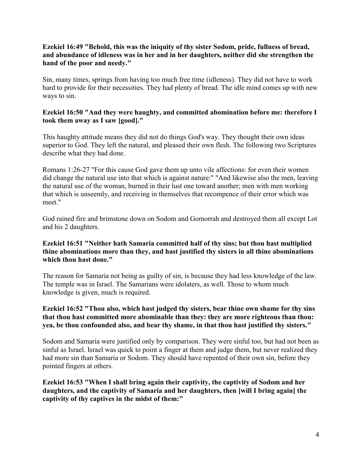## **Ezekiel 16:49 "Behold, this was the iniquity of thy sister Sodom, pride, fullness of bread, and abundance of idleness was in her and in her daughters, neither did she strengthen the hand of the poor and needy."**

Sin, many times, springs from having too much free time (idleness). They did not have to work hard to provide for their necessities. They had plenty of bread. The idle mind comes up with new ways to sin.

## **Ezekiel 16:50 "And they were haughty, and committed abomination before me: therefore I took them away as I saw [good]."**

This haughty attitude means they did not do things God's way. They thought their own ideas superior to God. They left the natural, and pleased their own flesh. The following two Scriptures describe what they had done.

Romans 1:26-27 "For this cause God gave them up unto vile affections: for even their women did change the natural use into that which is against nature:" "And likewise also the men, leaving the natural use of the woman, burned in their lust one toward another; men with men working that which is unseemly, and receiving in themselves that recompence of their error which was meet."

God rained fire and brimstone down on Sodom and Gomorrah and destroyed them all except Lot and his 2 daughters.

## **Ezekiel 16:51 "Neither hath Samaria committed half of thy sins; but thou hast multiplied thine abominations more than they, and hast justified thy sisters in all thine abominations which thou hast done."**

The reason for Samaria not being as guilty of sin, is because they had less knowledge of the law. The temple was in Israel. The Samarians were idolaters, as well. Those to whom much knowledge is given, much is required.

## **Ezekiel 16:52 "Thou also, which hast judged thy sisters, bear thine own shame for thy sins that thou hast committed more abominable than they: they are more righteous than thou: yea, be thou confounded also, and bear thy shame, in that thou hast justified thy sisters."**

Sodom and Samaria were justified only by comparison. They were sinful too, but had not been as sinful as Israel. Israel was quick to point a finger at them and judge them, but never realized they had more sin than Samaria or Sodom. They should have repented of their own sin, before they pointed fingers at others.

**Ezekiel 16:53 "When I shall bring again their captivity, the captivity of Sodom and her daughters, and the captivity of Samaria and her daughters, then [will I bring again] the captivity of thy captives in the midst of them:"**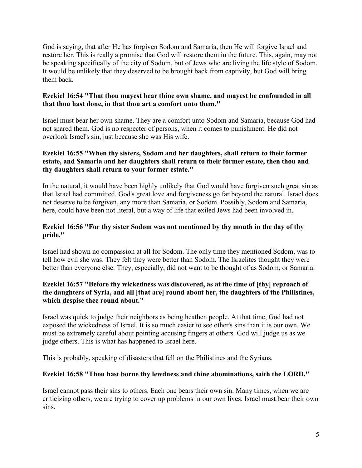God is saying, that after He has forgiven Sodom and Samaria, then He will forgive Israel and restore her. This is really a promise that God will restore them in the future. This, again, may not be speaking specifically of the city of Sodom, but of Jews who are living the life style of Sodom. It would be unlikely that they deserved to be brought back from captivity, but God will bring them back.

#### **Ezekiel 16:54 "That thou mayest bear thine own shame, and mayest be confounded in all that thou hast done, in that thou art a comfort unto them."**

Israel must bear her own shame. They are a comfort unto Sodom and Samaria, because God had not spared them. God is no respecter of persons, when it comes to punishment. He did not overlook Israel's sin, just because she was His wife.

## **Ezekiel 16:55 "When thy sisters, Sodom and her daughters, shall return to their former estate, and Samaria and her daughters shall return to their former estate, then thou and thy daughters shall return to your former estate."**

In the natural, it would have been highly unlikely that God would have forgiven such great sin as that Israel had committed. God's great love and forgiveness go far beyond the natural. Israel does not deserve to be forgiven, any more than Samaria, or Sodom. Possibly, Sodom and Samaria, here, could have been not literal, but a way of life that exiled Jews had been involved in.

## **Ezekiel 16:56 "For thy sister Sodom was not mentioned by thy mouth in the day of thy pride,"**

Israel had shown no compassion at all for Sodom. The only time they mentioned Sodom, was to tell how evil she was. They felt they were better than Sodom. The Israelites thought they were better than everyone else. They, especially, did not want to be thought of as Sodom, or Samaria.

## **Ezekiel 16:57 "Before thy wickedness was discovered, as at the time of [thy] reproach of the daughters of Syria, and all [that are] round about her, the daughters of the Philistines, which despise thee round about."**

Israel was quick to judge their neighbors as being heathen people. At that time, God had not exposed the wickedness of Israel. It is so much easier to see other's sins than it is our own. We must be extremely careful about pointing accusing fingers at others. God will judge us as we judge others. This is what has happened to Israel here.

This is probably, speaking of disasters that fell on the Philistines and the Syrians.

## **Ezekiel 16:58 "Thou hast borne thy lewdness and thine abominations, saith the LORD."**

Israel cannot pass their sins to others. Each one bears their own sin. Many times, when we are criticizing others, we are trying to cover up problems in our own lives. Israel must bear their own sins.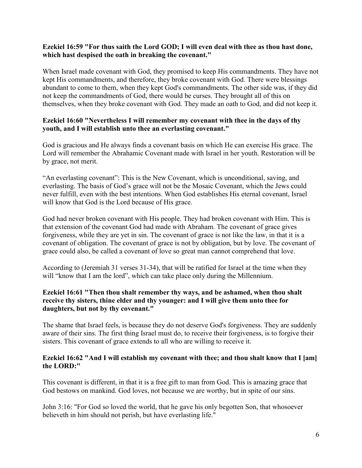#### **Ezekiel 16:59 "For thus saith the Lord GOD; I will even deal with thee as thou hast done, which hast despised the oath in breaking the covenant."**

When Israel made covenant with God, they promised to keep His commandments. They have not kept His commandments, and therefore, they broke covenant with God. There were blessings abundant to come to them, when they kept God's commandments. The other side was, if they did not keep the commandments of God, there would be curses. They brought all of this on themselves, when they broke covenant with God. They made an oath to God, and did not keep it.

#### **Ezekiel 16:60 "Nevertheless I will remember my covenant with thee in the days of thy youth, and I will establish unto thee an everlasting covenant."**

God is gracious and He always finds a covenant basis on which He can exercise His grace. The Lord will remember the Abrahamic Covenant made with Israel in her youth. Restoration will be by grace, not merit.

"An everlasting covenant": This is the New Covenant, which is unconditional, saving, and everlasting. The basis of God's grace will not be the Mosaic Covenant, which the Jews could never fulfill, even with the best intentions. When God establishes His eternal covenant, Israel will know that God is the Lord because of His grace.

God had never broken covenant with His people. They had broken covenant with Him. This is that extension of the covenant God had made with Abraham. The covenant of grace gives forgiveness, while they are yet in sin. The covenant of grace is not like the law, in that it is a covenant of obligation. The covenant of grace is not by obligation, but by love. The covenant of grace could also, be called a covenant of love so great man cannot comprehend that love.

According to (Jeremiah 31 verses 31-34), that will be ratified for Israel at the time when they will "know that I am the lord", which can take place only during the Millennium.

#### **Ezekiel 16:61 "Then thou shalt remember thy ways, and be ashamed, when thou shalt receive thy sisters, thine elder and thy younger: and I will give them unto thee for daughters, but not by thy covenant."**

The shame that Israel feels, is because they do not deserve God's forgiveness. They are suddenly aware of their sins. The first thing Israel must do, to receive their forgiveness, is to forgive their sisters. This covenant of grace extends to all who are willing to receive it.

#### **Ezekiel 16:62 "And I will establish my covenant with thee; and thou shalt know that I [am] the LORD:"**

This covenant is different, in that it is a free gift to man from God. This is amazing grace that God bestows on mankind. God loves, not because we are worthy, but in spite of our sins.

John 3:16: "For God so loved the world, that he gave his only begotten Son, that whosoever believeth in him should not perish, but have everlasting life."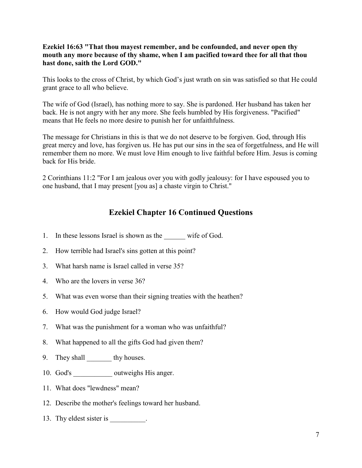## **Ezekiel 16:63 "That thou mayest remember, and be confounded, and never open thy mouth any more because of thy shame, when I am pacified toward thee for all that thou hast done, saith the Lord GOD."**

This looks to the cross of Christ, by which God's just wrath on sin was satisfied so that He could grant grace to all who believe.

The wife of God (Israel), has nothing more to say. She is pardoned. Her husband has taken her back. He is not angry with her any more. She feels humbled by His forgiveness. "Pacified" means that He feels no more desire to punish her for unfaithfulness.

The message for Christians in this is that we do not deserve to be forgiven. God, through His great mercy and love, has forgiven us. He has put our sins in the sea of forgetfulness, and He will remember them no more. We must love Him enough to live faithful before Him. Jesus is coming back for His bride.

2 Corinthians 11:2 "For I am jealous over you with godly jealousy: for I have espoused you to one husband, that I may present [you as] a chaste virgin to Christ."

# **Ezekiel Chapter 16 Continued Questions**

- 1. In these lessons Israel is shown as the wife of God.
- 2. How terrible had Israel's sins gotten at this point?
- 3. What harsh name is Israel called in verse 35?
- 4. Who are the lovers in verse 36?
- 5. What was even worse than their signing treaties with the heathen?
- 6. How would God judge Israel?
- 7. What was the punishment for a woman who was unfaithful?
- 8. What happened to all the gifts God had given them?
- 9. They shall thy houses.
- 10. God's \_\_\_\_\_\_\_\_\_\_\_\_\_ outweighs His anger.
- 11. What does "lewdness" mean?
- 12. Describe the mother's feelings toward her husband.
- 13. Thy eldest sister is \_\_\_\_\_\_\_\_\_.